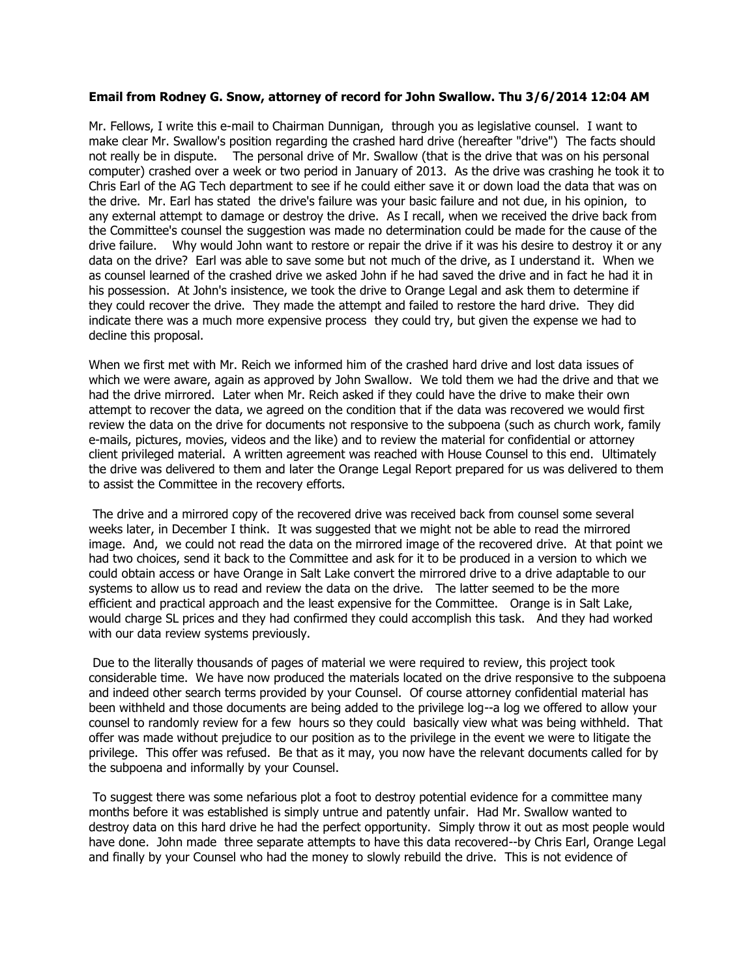## **Email from Rodney G. Snow, attorney of record for John Swallow. Thu 3/6/2014 12:04 AM**

Mr. Fellows, I write this e-mail to Chairman Dunnigan, through you as legislative counsel. I want to make clear Mr. Swallow's position regarding the crashed hard drive (hereafter "drive") The facts should not really be in dispute. The personal drive of Mr. Swallow (that is the drive that was on his personal computer) crashed over a week or two period in January of 2013. As the drive was crashing he took it to Chris Earl of the AG Tech department to see if he could either save it or down load the data that was on the drive. Mr. Earl has stated the drive's failure was your basic failure and not due, in his opinion, to any external attempt to damage or destroy the drive. As I recall, when we received the drive back from the Committee's counsel the suggestion was made no determination could be made for the cause of the drive failure. Why would John want to restore or repair the drive if it was his desire to destroy it or any data on the drive? Earl was able to save some but not much of the drive, as I understand it. When we as counsel learned of the crashed drive we asked John if he had saved the drive and in fact he had it in his possession. At John's insistence, we took the drive to Orange Legal and ask them to determine if they could recover the drive. They made the attempt and failed to restore the hard drive. They did indicate there was a much more expensive process they could try, but given the expense we had to decline this proposal.

When we first met with Mr. Reich we informed him of the crashed hard drive and lost data issues of which we were aware, again as approved by John Swallow. We told them we had the drive and that we had the drive mirrored. Later when Mr. Reich asked if they could have the drive to make their own attempt to recover the data, we agreed on the condition that if the data was recovered we would first review the data on the drive for documents not responsive to the subpoena (such as church work, family e-mails, pictures, movies, videos and the like) and to review the material for confidential or attorney client privileged material. A written agreement was reached with House Counsel to this end. Ultimately the drive was delivered to them and later the Orange Legal Report prepared for us was delivered to them to assist the Committee in the recovery efforts.

The drive and a mirrored copy of the recovered drive was received back from counsel some several weeks later, in December I think. It was suggested that we might not be able to read the mirrored image. And, we could not read the data on the mirrored image of the recovered drive. At that point we had two choices, send it back to the Committee and ask for it to be produced in a version to which we could obtain access or have Orange in Salt Lake convert the mirrored drive to a drive adaptable to our systems to allow us to read and review the data on the drive. The latter seemed to be the more efficient and practical approach and the least expensive for the Committee. Orange is in Salt Lake, would charge SL prices and they had confirmed they could accomplish this task. And they had worked with our data review systems previously.

Due to the literally thousands of pages of material we were required to review, this project took considerable time. We have now produced the materials located on the drive responsive to the subpoena and indeed other search terms provided by your Counsel. Of course attorney confidential material has been withheld and those documents are being added to the privilege log--a log we offered to allow your counsel to randomly review for a few hours so they could basically view what was being withheld. That offer was made without prejudice to our position as to the privilege in the event we were to litigate the privilege. This offer was refused. Be that as it may, you now have the relevant documents called for by the subpoena and informally by your Counsel.

To suggest there was some nefarious plot a foot to destroy potential evidence for a committee many months before it was established is simply untrue and patently unfair. Had Mr. Swallow wanted to destroy data on this hard drive he had the perfect opportunity. Simply throw it out as most people would have done. John made three separate attempts to have this data recovered--by Chris Earl, Orange Legal and finally by your Counsel who had the money to slowly rebuild the drive. This is not evidence of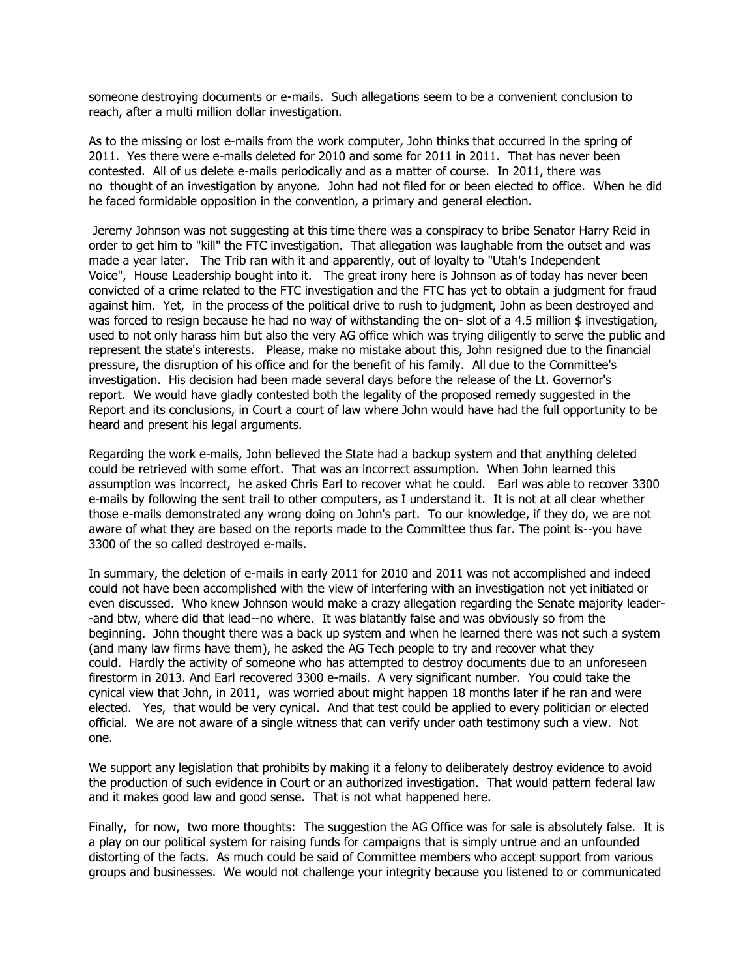someone destroying documents or e-mails. Such allegations seem to be a convenient conclusion to reach, after a multi million dollar investigation.

As to the missing or lost e-mails from the work computer, John thinks that occurred in the spring of 2011. Yes there were e-mails deleted for 2010 and some for 2011 in 2011. That has never been contested. All of us delete e-mails periodically and as a matter of course. In 2011, there was no thought of an investigation by anyone. John had not filed for or been elected to office. When he did he faced formidable opposition in the convention, a primary and general election.

Jeremy Johnson was not suggesting at this time there was a conspiracy to bribe Senator Harry Reid in order to get him to "kill" the FTC investigation. That allegation was laughable from the outset and was made a year later. The Trib ran with it and apparently, out of loyalty to "Utah's Independent Voice", House Leadership bought into it. The great irony here is Johnson as of today has never been convicted of a crime related to the FTC investigation and the FTC has yet to obtain a judgment for fraud against him. Yet, in the process of the political drive to rush to judgment, John as been destroyed and was forced to resign because he had no way of withstanding the on- slot of a 4.5 million \$ investigation, used to not only harass him but also the very AG office which was trying diligently to serve the public and represent the state's interests. Please, make no mistake about this, John resigned due to the financial pressure, the disruption of his office and for the benefit of his family. All due to the Committee's investigation. His decision had been made several days before the release of the Lt. Governor's report. We would have gladly contested both the legality of the proposed remedy suggested in the Report and its conclusions, in Court a court of law where John would have had the full opportunity to be heard and present his legal arguments.

Regarding the work e-mails, John believed the State had a backup system and that anything deleted could be retrieved with some effort. That was an incorrect assumption. When John learned this assumption was incorrect, he asked Chris Earl to recover what he could. Earl was able to recover 3300 e-mails by following the sent trail to other computers, as I understand it. It is not at all clear whether those e-mails demonstrated any wrong doing on John's part. To our knowledge, if they do, we are not aware of what they are based on the reports made to the Committee thus far. The point is--you have 3300 of the so called destroyed e-mails.

In summary, the deletion of e-mails in early 2011 for 2010 and 2011 was not accomplished and indeed could not have been accomplished with the view of interfering with an investigation not yet initiated or even discussed. Who knew Johnson would make a crazy allegation regarding the Senate majority leader- -and btw, where did that lead--no where. It was blatantly false and was obviously so from the beginning. John thought there was a back up system and when he learned there was not such a system (and many law firms have them), he asked the AG Tech people to try and recover what they could. Hardly the activity of someone who has attempted to destroy documents due to an unforeseen firestorm in 2013. And Earl recovered 3300 e-mails. A very significant number. You could take the cynical view that John, in 2011, was worried about might happen 18 months later if he ran and were elected. Yes, that would be very cynical. And that test could be applied to every politician or elected official. We are not aware of a single witness that can verify under oath testimony such a view. Not one.

We support any legislation that prohibits by making it a felony to deliberately destroy evidence to avoid the production of such evidence in Court or an authorized investigation. That would pattern federal law and it makes good law and good sense. That is not what happened here.

Finally, for now, two more thoughts: The suggestion the AG Office was for sale is absolutely false. It is a play on our political system for raising funds for campaigns that is simply untrue and an unfounded distorting of the facts. As much could be said of Committee members who accept support from various groups and businesses. We would not challenge your integrity because you listened to or communicated